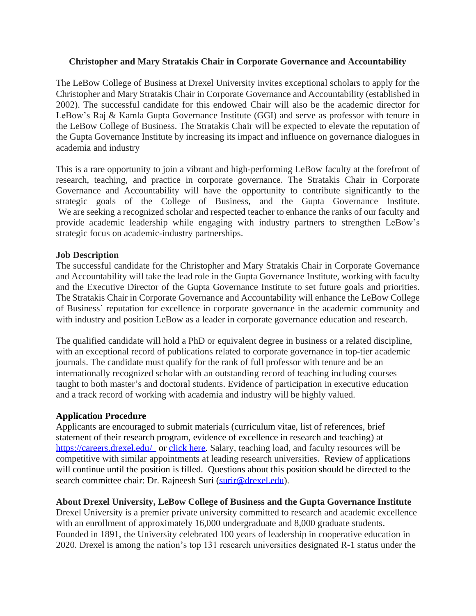## **Christopher and Mary Stratakis Chair in Corporate Governance and Accountability**

The LeBow College of Business at Drexel University invites exceptional scholars to apply for the Christopher and Mary Stratakis Chair in Corporate Governance and Accountability (established in 2002). The successful candidate for this endowed Chair will also be the academic director for LeBow's Raj & Kamla Gupta Governance Institute (GGI) and serve as professor with tenure in the LeBow College of Business. The Stratakis Chair will be expected to elevate the reputation of the Gupta Governance Institute by increasing its impact and influence on governance dialogues in academia and industry

This is a rare opportunity to join a vibrant and high-performing LeBow faculty at the forefront of research, teaching, and practice in corporate governance. The Stratakis Chair in Corporate Governance and Accountability will have the opportunity to contribute significantly to the strategic goals of the College of Business, and the Gupta Governance Institute. We are seeking a recognized scholar and respected teacher to enhance the ranks of our faculty and provide academic leadership while engaging with industry partners to strengthen LeBow's strategic focus on academic-industry partnerships.

## **Job Description**

The successful candidate for the Christopher and Mary Stratakis Chair in Corporate Governance and Accountability will take the lead role in the Gupta Governance Institute, working with faculty and the Executive Director of the Gupta Governance Institute to set future goals and priorities. The Stratakis Chair in Corporate Governance and Accountability will enhance the LeBow College of Business' reputation for excellence in corporate governance in the academic community and with industry and position LeBow as a leader in corporate governance education and research.

The qualified candidate will hold a PhD or equivalent degree in business or a related discipline, with an exceptional record of publications related to corporate governance in top-tier academic journals. The candidate must qualify for the rank of full professor with tenure and be an internationally recognized scholar with an outstanding record of teaching including courses taught to both master's and doctoral students. Evidence of participation in executive education and a track record of working with academia and industry will be highly valued.

## **Application Procedure**

Applicants are encouraged to submit materials (curriculum vitae, list of references, brief statement of their research program, evidence of excellence in research and teaching) at <https://careers.drexel.edu/> or [click here.](https://nam01.safelinks.protection.outlook.com/?url=http%3A%2F%2Fcareers.drexel.edu%2Fcw%2Fen-us%2Fjob%2F494825%3FlApplicationSubSourceID%3D&data=02%7C01%7Csurir%40drexel.edu%7C3b47e82dcd48456775f708d82f7c3596%7C3664e6fa47bd45a696708c4f080f8ca6%7C0%7C0%7C637311557811608640&sdata=Wf0MvRQrN0ks%2Bc7yv06FHIdYX%2B1y7TN7ybOzLP48o1w%3D&reserved=0) Salary, teaching load, and faculty resources will be competitive with similar appointments at leading research universities. Review of applications will continue until the position is filled. Questions about this position should be directed to the search committee chair: Dr. Rajneesh Suri [\(surir@drexel.edu\)](mailto:surir@drexel.edu).

**About Drexel University, LeBow College of Business and the Gupta Governance Institute** Drexel University is a premier private university committed to research and academic excellence with an enrollment of approximately 16,000 undergraduate and 8,000 graduate students. Founded in 1891, the University celebrated 100 years of leadership in cooperative education in 2020. Drexel is among the nation's top 131 research universities designated R-1 status under the